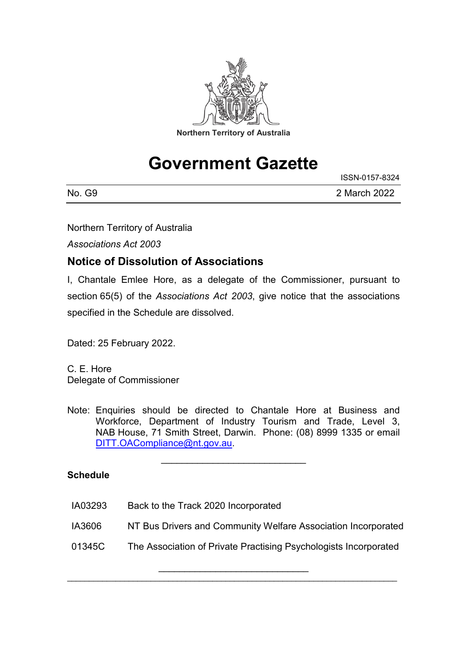

# **Government Gazette**

ISSN-0157-8324

| No.<br>G9 | 2 March 2022 |
|-----------|--------------|

Northern Territory of Australia

*Associations Act 2003*

### **Notice of Dissolution of Associations**

I, Chantale Emlee Hore, as a delegate of the Commissioner, pursuant to section 65(5) of the *Associations Act 2003*, give notice that the associations specified in the Schedule are dissolved.

Dated: 25 February 2022.

C. E. Hore Delegate of Commissioner

Note: Enquiries should be directed to Chantale Hore at Business and Workforce, Department of Industry Tourism and Trade, Level 3, NAB House, 71 Smith Street, Darwin. Phone: (08) 8999 1335 or email [DITT.OACompliance@nt.gov.au.](mailto:DITT.OACompliance@nt.gov.au)

\_\_\_\_\_\_\_\_\_\_\_\_\_\_\_\_\_\_\_\_\_\_\_\_\_\_\_\_

#### **Schedule**

- IA03293 Back to the Track 2020 Incorporated
- IA3606 NT Bus Drivers and Community Welfare Association Incorporated
- 01345C The Association of Private Practising Psychologists Incorporated

\_\_\_\_\_\_\_\_\_\_\_\_\_\_\_\_\_\_\_\_\_\_\_\_\_\_\_\_\_ \_\_\_\_\_\_\_\_\_\_\_\_\_\_\_\_\_\_\_\_\_\_\_\_\_\_\_\_\_\_\_\_\_\_\_\_\_\_\_\_\_\_\_\_\_\_\_\_\_\_\_\_\_\_\_\_\_\_\_\_\_\_\_\_\_\_\_\_\_\_\_\_\_\_\_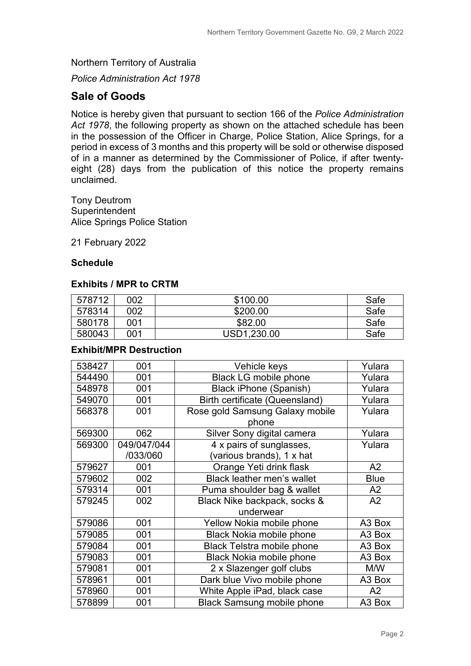Northern Territory of Australia

*Police Administration Act 1978*

### **Sale of Goods**

Notice is hereby given that pursuant to section 166 of the *Police Administration Act 1978*, the following property as shown on the attached schedule has been in the possession of the Officer in Charge, Police Station, Alice Springs, for a period in excess of 3 months and this property will be sold or otherwise disposed of in a manner as determined by the Commissioner of Police, if after twentyeight (28) days from the publication of this notice the property remains unclaimed.

Tony Deutrom **Superintendent** Alice Springs Police Station

21 February 2022

#### **Schedule**

#### **Exhibits / MPR to CRTM**

| 578712 | 002 | \$100.00    | Safe |
|--------|-----|-------------|------|
| 578314 | 002 | \$200.00    | Safe |
| 580178 | 001 | \$82.00     | Safe |
| 580043 | 001 | USD1,230.00 | Safe |

#### **Exhibit/MPR Destruction**

| 538427 | 001         | Vehicle keys                          | Yulara         |
|--------|-------------|---------------------------------------|----------------|
| 544490 | 001         | <b>Black LG mobile phone</b>          | Yulara         |
| 548978 | 001         | <b>Black iPhone (Spanish)</b>         | Yulara         |
| 549070 | 001         | <b>Birth certificate (Queensland)</b> | Yulara         |
| 568378 | 001         | Rose gold Samsung Galaxy mobile       | Yulara         |
|        |             | phone                                 |                |
| 569300 | 062         | Silver Sony digital camera            | Yulara         |
| 569300 | 049/047/044 | 4 x pairs of sunglasses,              | Yulara         |
|        | /033/060    | (various brands), 1 x hat             |                |
| 579627 | 001         | Orange Yeti drink flask               | A2             |
| 579602 | 002         | <b>Black leather men's wallet</b>     | <b>Blue</b>    |
| 579314 | 001         | Puma shoulder bag & wallet            | A2             |
| 579245 | 002         | Black Nike backpack, socks &          | A2             |
|        |             | underwear                             |                |
| 579086 | 001         | Yellow Nokia mobile phone             | A3 Box         |
| 579085 | 001         | <b>Black Nokia mobile phone</b>       | A3 Box         |
| 579084 | 001         | <b>Black Telstra mobile phone</b>     | A3 Box         |
| 579083 | 001         | <b>Black Nokia mobile phone</b>       | A3 Box         |
| 579081 | 001         | 2 x Slazenger golf clubs              | M/W            |
| 578961 | 001         | Dark blue Vivo mobile phone           | A3 Box         |
| 578960 | 001         | White Apple iPad, black case          | A <sub>2</sub> |
| 578899 | 001         | <b>Black Samsung mobile phone</b>     | A3 Box         |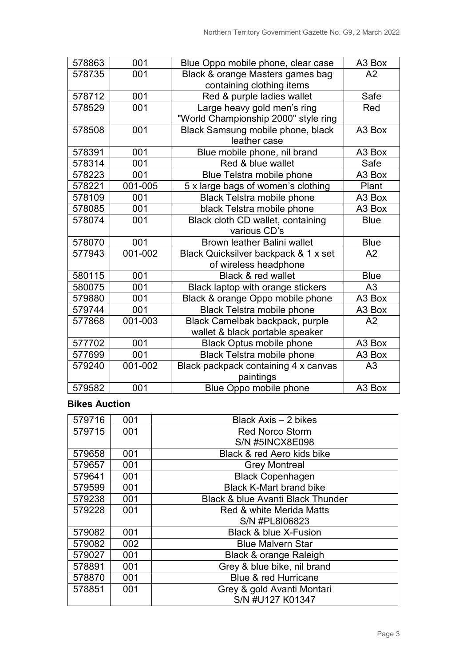| 578863 | 001     | Blue Oppo mobile phone, clear case   | A3 Box             |
|--------|---------|--------------------------------------|--------------------|
| 578735 | 001     | Black & orange Masters games bag     | A2                 |
|        |         | containing clothing items            |                    |
| 578712 | 001     | Red & purple ladies wallet           | Safe               |
| 578529 | 001     | Large heavy gold men's ring          | Red                |
|        |         | "World Championship 2000" style ring |                    |
| 578508 | 001     | Black Samsung mobile phone, black    | A3 Box             |
|        |         | leather case                         |                    |
| 578391 | 001     | Blue mobile phone, nil brand         | A3 Box             |
| 578314 | 001     | Red & blue wallet                    | Safe               |
| 578223 | 001     | Blue Telstra mobile phone            | A3 Box             |
| 578221 | 001-005 | 5 x large bags of women's clothing   | Plant              |
| 578109 | 001     | <b>Black Telstra mobile phone</b>    | A3 Box             |
| 578085 | 001     | black Telstra mobile phone           | A3 Box             |
| 578074 | 001     | Black cloth CD wallet, containing    | <b>Blue</b>        |
|        |         | various CD's                         |                    |
| 578070 | 001     | <b>Brown leather Balini wallet</b>   | <b>Blue</b>        |
| 577943 | 001-002 | Black Quicksilver backpack & 1 x set | A2                 |
|        |         | of wireless headphone                |                    |
| 580115 | 001     | Black & red wallet                   | <b>Blue</b>        |
| 580075 | 001     | Black laptop with orange stickers    | A <sub>3</sub>     |
| 579880 | 001     | Black & orange Oppo mobile phone     | A3 Box             |
| 579744 | 001     | <b>Black Telstra mobile phone</b>    | A3 Box             |
| 577868 | 001-003 | Black Camelbak backpack, purple      | A2                 |
|        |         | wallet & black portable speaker      |                    |
| 577702 | 001     | <b>Black Optus mobile phone</b>      | A3 Box             |
| 577699 | 001     | <b>Black Telstra mobile phone</b>    | A3 Box             |
| 579240 | 001-002 | Black packpack containing 4 x canvas | A <sub>3</sub>     |
|        |         | paintings                            |                    |
| 579582 | 001     | Blue Oppo mobile phone               | A <sub>3</sub> Box |

### **Bikes Auction**

| 579716 | 001 | Black Axis - 2 bikes                         |
|--------|-----|----------------------------------------------|
| 579715 | 001 | <b>Red Norco Storm</b>                       |
|        |     | <b>S/N #5INCX8E098</b>                       |
| 579658 | 001 | Black & red Aero kids bike                   |
| 579657 | 001 | <b>Grey Montreal</b>                         |
| 579641 | 001 | <b>Black Copenhagen</b>                      |
| 579599 | 001 | <b>Black K-Mart brand bike</b>               |
| 579238 | 001 | <b>Black &amp; blue Avanti Black Thunder</b> |
| 579228 | 001 | Red & white Merida Matts                     |
|        |     | S/N #PL8I06823                               |
| 579082 | 001 | <b>Black &amp; blue X-Fusion</b>             |
| 579082 | 002 | <b>Blue Malvern Star</b>                     |
| 579027 | 001 | Black & orange Raleigh                       |
| 578891 | 001 | Grey & blue bike, nil brand                  |
| 578870 | 001 | Blue & red Hurricane                         |
| 578851 | 001 | Grey & gold Avanti Montari                   |
|        |     | S/N #U127 K01347                             |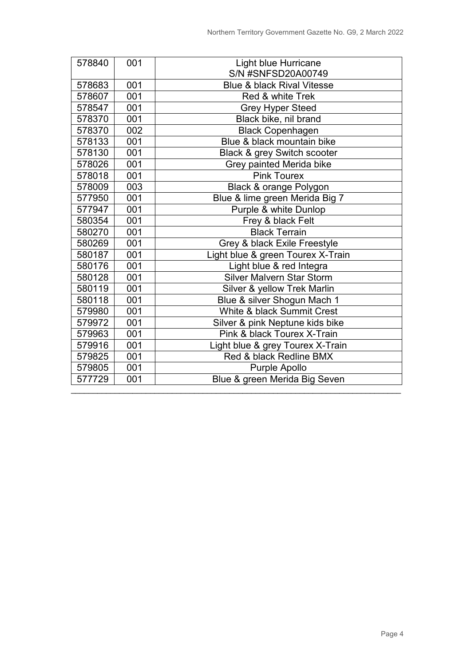| 578840 | 001 | <b>Light blue Hurricane</b>           |
|--------|-----|---------------------------------------|
|        |     | S/N #SNFSD20A00749                    |
| 578683 | 001 | <b>Blue &amp; black Rival Vitesse</b> |
| 578607 | 001 | Red & white Trek                      |
| 578547 | 001 | <b>Grey Hyper Steed</b>               |
| 578370 | 001 | Black bike, nil brand                 |
| 578370 | 002 | <b>Black Copenhagen</b>               |
| 578133 | 001 | Blue & black mountain bike            |
| 578130 | 001 | Black & grey Switch scooter           |
| 578026 | 001 | Grey painted Merida bike              |
| 578018 | 001 | <b>Pink Tourex</b>                    |
| 578009 | 003 | Black & orange Polygon                |
| 577950 | 001 | Blue & lime green Merida Big 7        |
| 577947 | 001 | Purple & white Dunlop                 |
| 580354 | 001 | Frey & black Felt                     |
| 580270 | 001 | <b>Black Terrain</b>                  |
| 580269 | 001 | Grey & black Exile Freestyle          |
| 580187 | 001 | Light blue & green Tourex X-Train     |
| 580176 | 001 | Light blue & red Integra              |
| 580128 | 001 | <b>Silver Malvern Star Storm</b>      |
| 580119 | 001 | Silver & yellow Trek Marlin           |
| 580118 | 001 | Blue & silver Shogun Mach 1           |
| 579980 | 001 | White & black Summit Crest            |
| 579972 | 001 | Silver & pink Neptune kids bike       |
| 579963 | 001 | Pink & black Tourex X-Train           |
| 579916 | 001 | Light blue & grey Tourex X-Train      |
| 579825 | 001 | Red & black Redline BMX               |
| 579805 | 001 | Purple Apollo                         |
| 577729 | 001 | Blue & green Merida Big Seven         |
|        |     |                                       |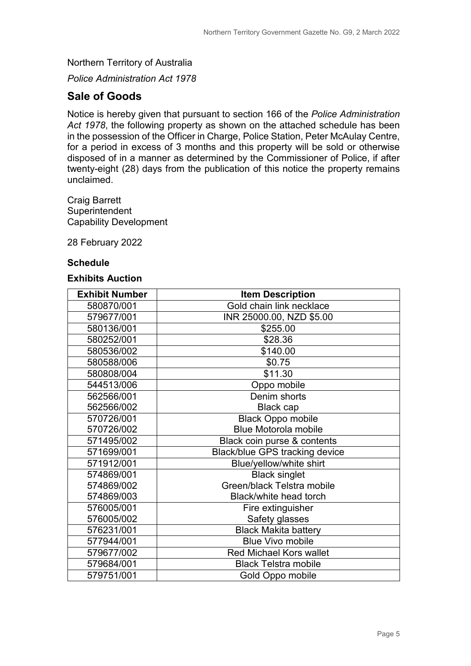Northern Territory of Australia

*Police Administration Act 1978*

### **Sale of Goods**

Notice is hereby given that pursuant to section 166 of the *Police Administration Act 1978*, the following property as shown on the attached schedule has been in the possession of the Officer in Charge, Police Station, Peter McAulay Centre, for a period in excess of 3 months and this property will be sold or otherwise disposed of in a manner as determined by the Commissioner of Police, if after twenty-eight (28) days from the publication of this notice the property remains unclaimed.

Craig Barrett **Superintendent** Capability Development

28 February 2022

#### **Schedule**

#### **Exhibits Auction**

| <b>Exhibit Number</b> | <b>Item Description</b>        |
|-----------------------|--------------------------------|
| 580870/001            | Gold chain link necklace       |
| 579677/001            | INR 25000.00, NZD \$5.00       |
| 580136/001            | \$255.00                       |
| 580252/001            | \$28.36                        |
| 580536/002            | \$140.00                       |
| 580588/006            | \$0.75                         |
| 580808/004            | \$11.30                        |
| 544513/006            | Oppo mobile                    |
| 562566/001            | Denim shorts                   |
| 562566/002            | <b>Black cap</b>               |
| 570726/001            | <b>Black Oppo mobile</b>       |
| 570726/002            | <b>Blue Motorola mobile</b>    |
| 571495/002            | Black coin purse & contents    |
| 571699/001            | Black/blue GPS tracking device |
| 571912/001            | Blue/yellow/white shirt        |
| 574869/001            | <b>Black singlet</b>           |
| 574869/002            | Green/black Telstra mobile     |
| 574869/003            | Black/white head torch         |
| 576005/001            | Fire extinguisher              |
| 576005/002            | Safety glasses                 |
| 576231/001            | <b>Black Makita battery</b>    |
| 577944/001            | <b>Blue Vivo mobile</b>        |
| 579677/002            | <b>Red Michael Kors wallet</b> |
| 579684/001            | <b>Black Telstra mobile</b>    |
| 579751/001            | Gold Oppo mobile               |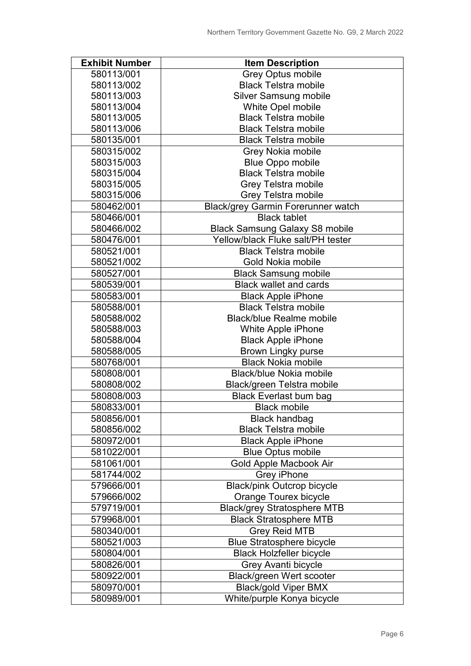| <b>Exhibit Number</b> | <b>Item Description</b>               |
|-----------------------|---------------------------------------|
| 580113/001            | <b>Grey Optus mobile</b>              |
| 580113/002            | <b>Black Telstra mobile</b>           |
| 580113/003            | <b>Silver Samsung mobile</b>          |
| 580113/004            | White Opel mobile                     |
| 580113/005            | <b>Black Telstra mobile</b>           |
| 580113/006            | <b>Black Telstra mobile</b>           |
| 580135/001            | <b>Black Telstra mobile</b>           |
| 580315/002            | Grey Nokia mobile                     |
| 580315/003            | <b>Blue Oppo mobile</b>               |
| 580315/004            | <b>Black Telstra mobile</b>           |
| 580315/005            | Grey Telstra mobile                   |
| 580315/006            | Grey Telstra mobile                   |
| 580462/001            | Black/grey Garmin Forerunner watch    |
| 580466/001            | <b>Black tablet</b>                   |
| 580466/002            | <b>Black Samsung Galaxy S8 mobile</b> |
| 580476/001            | Yellow/black Fluke salt/PH tester     |
| 580521/001            | <b>Black Telstra mobile</b>           |
| 580521/002            | Gold Nokia mobile                     |
| 580527/001            | <b>Black Samsung mobile</b>           |
| 580539/001            | <b>Black wallet and cards</b>         |
| 580583/001            | <b>Black Apple iPhone</b>             |
| 580588/001            | <b>Black Telstra mobile</b>           |
| 580588/002            | <b>Black/blue Realme mobile</b>       |
| 580588/003            | White Apple iPhone                    |
| 580588/004            | <b>Black Apple iPhone</b>             |
| 580588/005            | Brown Lingky purse                    |
| 580768/001            | <b>Black Nokia mobile</b>             |
| 580808/001            | Black/blue Nokia mobile               |
| 580808/002            | Black/green Telstra mobile            |
| 580808/003            | <b>Black Everlast bum bag</b>         |
| 580833/001            | <b>Black mobile</b>                   |
| 580856/001            | <b>Black handbag</b>                  |
| 580856/002            | <b>Black Telstra mobile</b>           |
| 580972/001            | <b>Black Apple iPhone</b>             |
| 581022/001            | <b>Blue Optus mobile</b>              |
| 581061/001            | Gold Apple Macbook Air                |
| 581744/002            | <b>Grey iPhone</b>                    |
| 579666/001            | <b>Black/pink Outcrop bicycle</b>     |
| 579666/002            | <b>Orange Tourex bicycle</b>          |
| 579719/001            | <b>Black/grey Stratosphere MTB</b>    |
| 579968/001            | <b>Black Stratosphere MTB</b>         |
| 580340/001            | <b>Grey Reid MTB</b>                  |
| 580521/003            | <b>Blue Stratosphere bicycle</b>      |
| 580804/001            | <b>Black Holzfeller bicycle</b>       |
| 580826/001            | Grey Avanti bicycle                   |
| 580922/001            | Black/green Wert scooter              |
| 580970/001            | <b>Black/gold Viper BMX</b>           |
| 580989/001            | White/purple Konya bicycle            |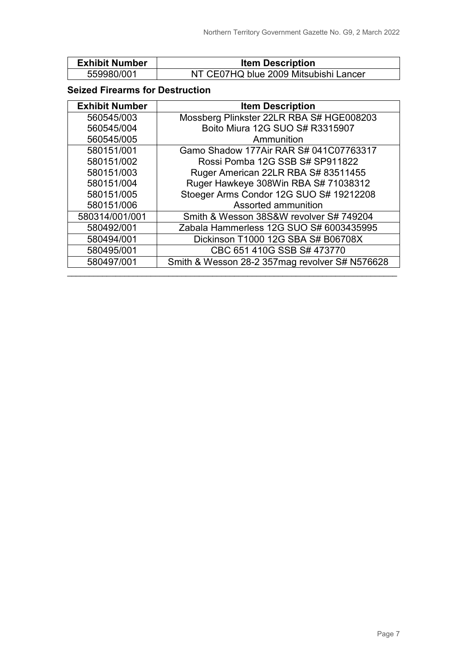| <b>Exhibit Number</b> | <b>Item Description</b>               |
|-----------------------|---------------------------------------|
| 559980/001            | NT CE07HQ blue 2009 Mitsubishi Lancer |

#### **Seized Firearms for Destruction**

| <b>Exhibit Number</b> | <b>Item Description</b>                        |
|-----------------------|------------------------------------------------|
| 560545/003            | Mossberg Plinkster 22LR RBA S# HGE008203       |
| 560545/004            | Boito Miura 12G SUO S# R3315907                |
| 560545/005            | Ammunition                                     |
| 580151/001            | Gamo Shadow 177Air RAR S# 041C07763317         |
| 580151/002            | Rossi Pomba 12G SSB S# SP911822                |
| 580151/003            | Ruger American 22LR RBA S# 83511455            |
| 580151/004            | Ruger Hawkeye 308Win RBA S# 71038312           |
| 580151/005            | Stoeger Arms Condor 12G SUO S# 19212208        |
| 580151/006            | Assorted ammunition                            |
| 580314/001/001        | Smith & Wesson 38S&W revolver S# 749204        |
| 580492/001            | Zabala Hammerless 12G SUO S# 6003435995        |
| 580494/001            | Dickinson T1000 12G SBA S# B06708X             |
| 580495/001            | CBC 651 410G SSB S# 473770                     |
| 580497/001            | Smith & Wesson 28-2 357mag revolver S# N576628 |

\_\_\_\_\_\_\_\_\_\_\_\_\_\_\_\_\_\_\_\_\_\_\_\_\_\_\_\_\_\_\_\_\_\_\_\_\_\_\_\_\_\_\_\_\_\_\_\_\_\_\_\_\_\_\_\_\_\_\_\_\_\_\_\_\_\_\_\_\_\_\_\_\_\_\_